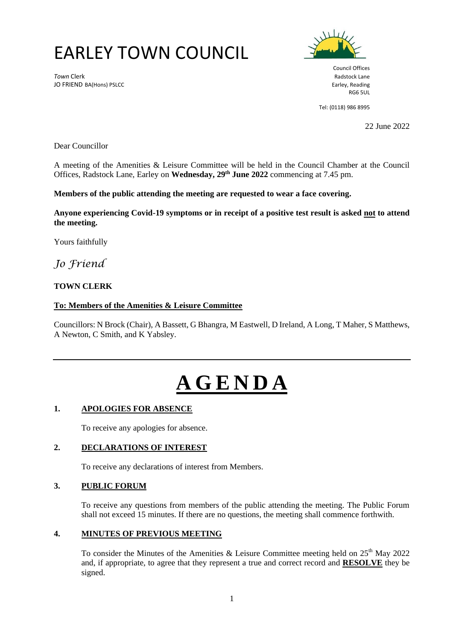# EARLEY TOWN COUNCIL

**Town Clerk** Radstock Lane JO FRIEND BA(Hons) PSLCC **Earley, Reading** Security Property and Security Property Reading



Council Offices RG6 5UL

Tel: (0118) 986 8995

22 June 2022

Dear Councillor

A meeting of the Amenities & Leisure Committee will be held in the Council Chamber at the Council Offices, Radstock Lane, Earley on **Wednesday, 29 th June 2022** commencing at 7.45 pm.

**Members of the public attending the meeting are requested to wear a face covering.** 

**Anyone experiencing Covid-19 symptoms or in receipt of a positive test result is asked not to attend the meeting.**

Yours faithfully

*Jo Friend*

# **TOWN CLERK**

#### **To: Members of the Amenities & Leisure Committee**

Councillors: N Brock (Chair), A Bassett, G Bhangra, M Eastwell, D Ireland, A Long, T Maher, S Matthews, A Newton, C Smith, and K Yabsley.

# **A G E N D A**

#### **1. APOLOGIES FOR ABSENCE**

To receive any apologies for absence.

#### **2. DECLARATIONS OF INTEREST**

To receive any declarations of interest from Members.

# **3. PUBLIC FORUM**

To receive any questions from members of the public attending the meeting. The Public Forum shall not exceed 15 minutes. If there are no questions, the meeting shall commence forthwith.

#### **4. MINUTES OF PREVIOUS MEETING**

To consider the Minutes of the Amenities & Leisure Committee meeting held on  $25<sup>th</sup>$  May 2022 and, if appropriate, to agree that they represent a true and correct record and **RESOLVE** they be signed.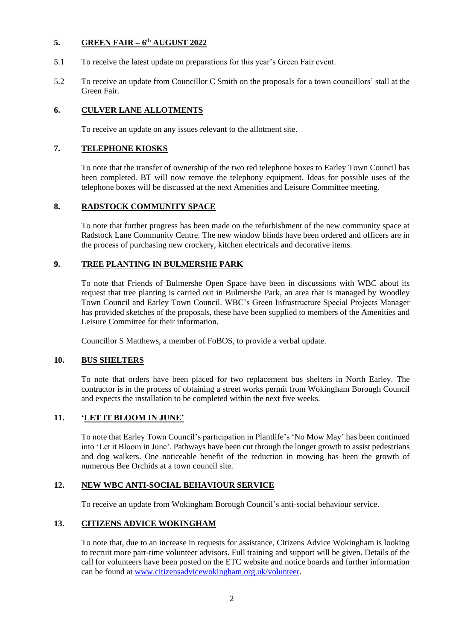# **5. GREEN FAIR – 6 th AUGUST 2022**

- 5.1 To receive the latest update on preparations for this year's Green Fair event.
- 5.2 To receive an update from Councillor C Smith on the proposals for a town councillors' stall at the Green Fair.

# **6. CULVER LANE ALLOTMENTS**

To receive an update on any issues relevant to the allotment site.

# **7. TELEPHONE KIOSKS**

To note that the transfer of ownership of the two red telephone boxes to Earley Town Council has been completed. BT will now remove the telephony equipment. Ideas for possible uses of the telephone boxes will be discussed at the next Amenities and Leisure Committee meeting.

# **8. RADSTOCK COMMUNITY SPACE**

To note that further progress has been made on the refurbishment of the new community space at Radstock Lane Community Centre. The new window blinds have been ordered and officers are in the process of purchasing new crockery, kitchen electricals and decorative items.

# **9. TREE PLANTING IN BULMERSHE PARK**

To note that Friends of Bulmershe Open Space have been in discussions with WBC about its request that tree planting is carried out in Bulmershe Park, an area that is managed by Woodley Town Council and Earley Town Council. WBC's Green Infrastructure Special Projects Manager has provided sketches of the proposals, these have been supplied to members of the Amenities and Leisure Committee for their information.

Councillor S Matthews, a member of FoBOS, to provide a verbal update.

#### **10. BUS SHELTERS**

To note that orders have been placed for two replacement bus shelters in North Earley. The contractor is in the process of obtaining a street works permit from Wokingham Borough Council and expects the installation to be completed within the next five weeks.

# **11. 'LET IT BLOOM IN JUNE'**

To note that Earley Town Council's participation in Plantlife's 'No Mow May' has been continued into 'Let it Bloom in June'. Pathways have been cut through the longer growth to assist pedestrians and dog walkers. One noticeable benefit of the reduction in mowing has been the growth of numerous Bee Orchids at a town council site.

# **12. NEW WBC ANTI-SOCIAL BEHAVIOUR SERVICE**

To receive an update from Wokingham Borough Council's anti-social behaviour service.

# **13. CITIZENS ADVICE WOKINGHAM**

To note that, due to an increase in requests for assistance, Citizens Advice Wokingham is looking to recruit more part-time volunteer advisors. Full training and support will be given. Details of the call for volunteers have been posted on the ETC website and notice boards and further information can be found at [www.citizensadvicewokingham.org.uk/volunteer.](http://www.citizensadvicewokingham.org.uk/volunteer)